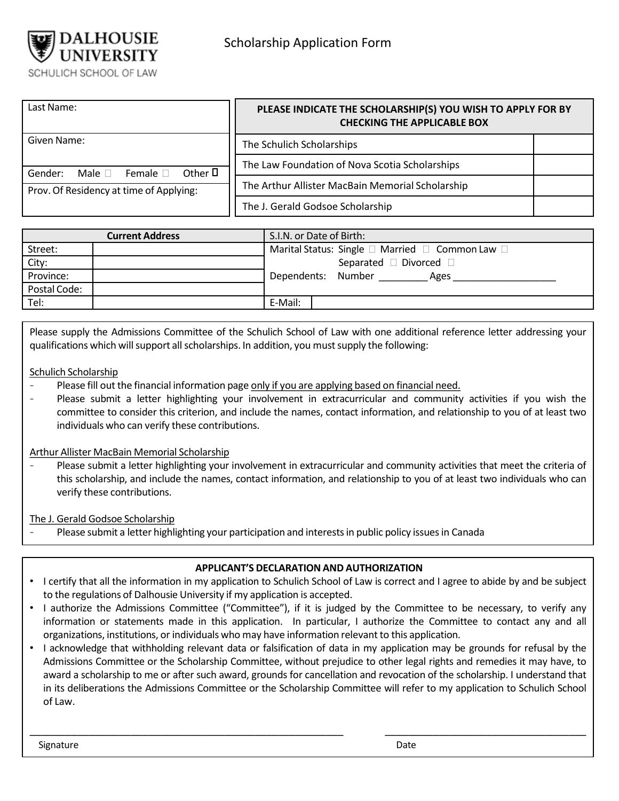

| Last Name:                                                                                        | PLEASE INDICATE THE SCHOLARSHIP(S) YOU WISH TO APPLY FOR BY<br><b>CHECKING THE APPLICABLE BOX</b> |  |  |
|---------------------------------------------------------------------------------------------------|---------------------------------------------------------------------------------------------------|--|--|
| Given Name:                                                                                       | The Schulich Scholarships                                                                         |  |  |
| Other $\Pi$<br>Gender:<br>Female $\Box$<br>Male $\Box$<br>Prov. Of Residency at time of Applying: | The Law Foundation of Nova Scotia Scholarships                                                    |  |  |
|                                                                                                   | The Arthur Allister MacBain Memorial Scholarship                                                  |  |  |
|                                                                                                   | The J. Gerald Godsoe Scholarship                                                                  |  |  |

|              | <b>Current Address</b> | S.I.N. or Date of Birth:                        |  |  |
|--------------|------------------------|-------------------------------------------------|--|--|
| Street:      |                        | Marital Status: Single □ Married □ Common Law □ |  |  |
| City:        |                        | Separated □ Divorced                            |  |  |
| Province:    |                        | Dependents: Number<br>Ages                      |  |  |
| Postal Code: |                        |                                                 |  |  |
| Tel:         |                        | E-Mail:                                         |  |  |

Please supply the Admissions Committee of the Schulich School of Law with one additional reference letter addressing your qualifications which will support all scholarships. In addition, you must supply the following:

## Schulich Scholarship

- Please fill out the financial information page only if you are applying based on financial need.
- Please submit a letter highlighting your involvement in extracurricular and community activities if you wish the committee to consider this criterion, and include the names, contact information, and relationship to you of at least two individuals who can verify these contributions.

# Arthur Allister MacBain Memorial Scholarship

Please submit a letter highlighting your involvement in extracurricular and community activities that meet the criteria of this scholarship, and include the names, contact information, and relationship to you of at least two individuals who can verify these contributions.

### The J. Gerald Godsoe Scholarship

Please submit a letter highlighting your participation and interests in public policy issues in Canada

# **APPLICANT'S DECLARATION AND AUTHORIZATION**

- I certify that all the information in my application to Schulich School of Law is correct and I agree to abide by and be subject to the regulations of Dalhousie University if my application is accepted.
- I authorize the Admissions Committee ("Committee"), if it is judged by the Committee to be necessary, to verify any information or statements made in this application. In particular, I authorize the Committee to contact any and all organizations, institutions, or individuals who may have information relevantto this application.
- I acknowledge that withholding relevant data or falsification of data in my application may be grounds for refusal by the Admissions Committee or the Scholarship Committee, without prejudice to other legal rights and remedies it may have, to award a scholarship to me or after such award, grounds for cancellation and revocation of the scholarship. I understand that in its deliberations the Admissions Committee or the Scholarship Committee will refer to my application to Schulich School of Law.

\_\_\_\_\_\_\_\_\_\_\_\_\_\_\_\_\_\_\_\_\_\_\_\_\_\_\_\_\_\_\_\_\_\_\_\_\_\_\_\_\_\_\_\_\_\_\_\_\_\_\_\_\_ \_\_\_\_\_\_\_\_\_\_\_\_\_\_\_\_\_\_\_\_\_\_\_\_\_\_\_\_\_\_\_\_\_\_